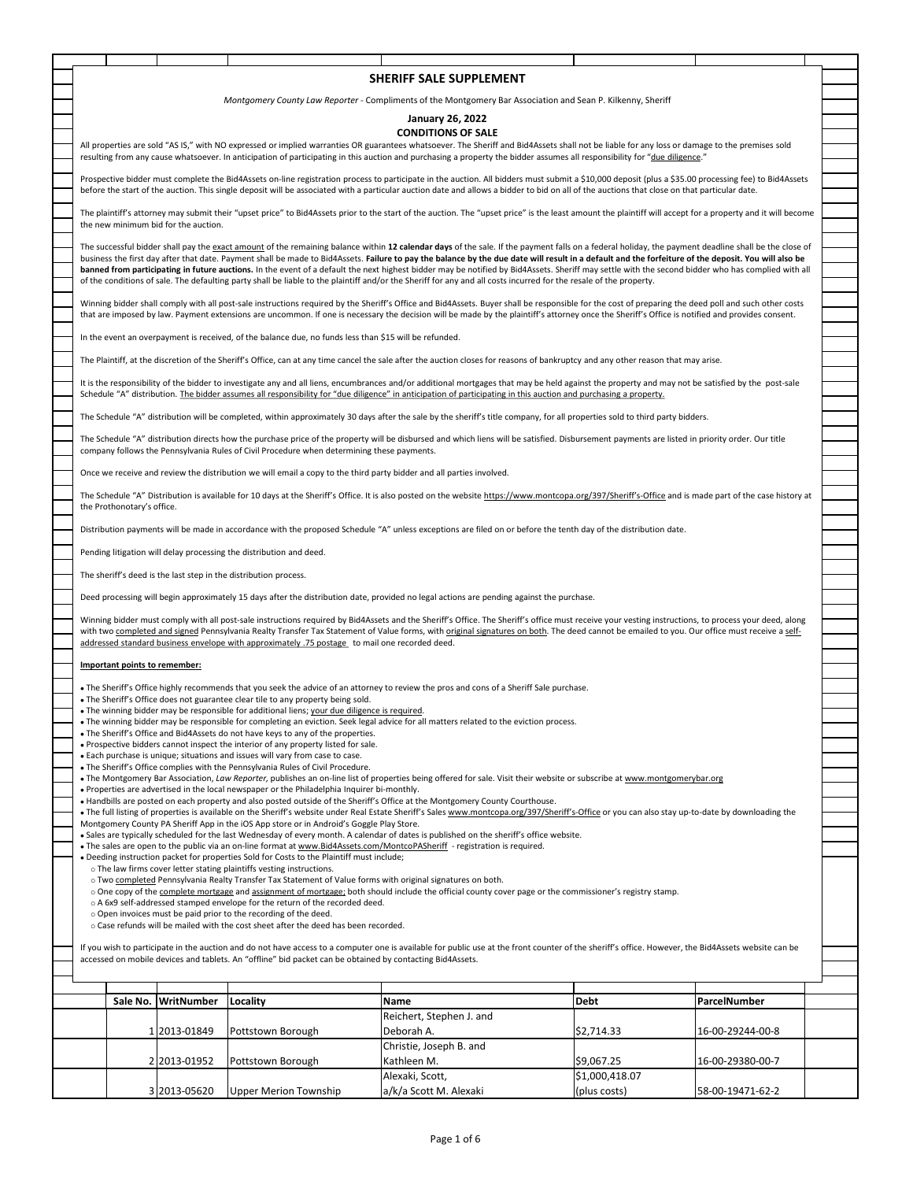|                                                                                                                                                                                                      |                                                                                                                                                                                                      |              |                                                                                                                      | SHERIFF SALE SUPPLEMENT                                                                                                                                                                                                                                                                                                                                                     |                |                  |  |  |
|------------------------------------------------------------------------------------------------------------------------------------------------------------------------------------------------------|------------------------------------------------------------------------------------------------------------------------------------------------------------------------------------------------------|--------------|----------------------------------------------------------------------------------------------------------------------|-----------------------------------------------------------------------------------------------------------------------------------------------------------------------------------------------------------------------------------------------------------------------------------------------------------------------------------------------------------------------------|----------------|------------------|--|--|
|                                                                                                                                                                                                      |                                                                                                                                                                                                      |              |                                                                                                                      |                                                                                                                                                                                                                                                                                                                                                                             |                |                  |  |  |
|                                                                                                                                                                                                      |                                                                                                                                                                                                      |              |                                                                                                                      | Montgomery County Law Reporter - Compliments of the Montgomery Bar Association and Sean P. Kilkenny, Sheriff                                                                                                                                                                                                                                                                |                |                  |  |  |
|                                                                                                                                                                                                      |                                                                                                                                                                                                      |              |                                                                                                                      | <b>January 26, 2022</b>                                                                                                                                                                                                                                                                                                                                                     |                |                  |  |  |
|                                                                                                                                                                                                      |                                                                                                                                                                                                      |              |                                                                                                                      | <b>CONDITIONS OF SALE</b>                                                                                                                                                                                                                                                                                                                                                   |                |                  |  |  |
|                                                                                                                                                                                                      |                                                                                                                                                                                                      |              |                                                                                                                      | All properties are sold "AS IS," with NO expressed or implied warranties OR guarantees whatsoever. The Sheriff and Bid4Assets shall not be liable for any loss or damage to the premises sold<br>resulting from any cause whatsoever. In anticipation of participating in this auction and purchasing a property the bidder assumes all responsibility for "due diligence." |                |                  |  |  |
|                                                                                                                                                                                                      |                                                                                                                                                                                                      |              |                                                                                                                      |                                                                                                                                                                                                                                                                                                                                                                             |                |                  |  |  |
|                                                                                                                                                                                                      |                                                                                                                                                                                                      |              |                                                                                                                      | Prospective bidder must complete the Bid4Assets on-line registration process to participate in the auction. All bidders must submit a \$10,000 deposit (plus a \$35.00 processing fee) to Bid4Assets                                                                                                                                                                        |                |                  |  |  |
|                                                                                                                                                                                                      |                                                                                                                                                                                                      |              |                                                                                                                      | before the start of the auction. This single deposit will be associated with a particular auction date and allows a bidder to bid on all of the auctions that close on that particular date.                                                                                                                                                                                |                |                  |  |  |
|                                                                                                                                                                                                      |                                                                                                                                                                                                      |              |                                                                                                                      | The plaintiff's attorney may submit their "upset price" to Bid4Assets prior to the start of the auction. The "upset price" is the least amount the plaintiff will accept for a property and it will become                                                                                                                                                                  |                |                  |  |  |
|                                                                                                                                                                                                      | the new minimum bid for the auction.                                                                                                                                                                 |              |                                                                                                                      |                                                                                                                                                                                                                                                                                                                                                                             |                |                  |  |  |
|                                                                                                                                                                                                      | The successful bidder shall pay the exact amount of the remaining balance within 12 calendar days of the sale. If the payment falls on a federal holiday, the payment deadline shall be the close of |              |                                                                                                                      |                                                                                                                                                                                                                                                                                                                                                                             |                |                  |  |  |
|                                                                                                                                                                                                      |                                                                                                                                                                                                      |              |                                                                                                                      | business the first day after that date. Payment shall be made to Bid4Assets. Failure to pay the balance by the due date will result in a default and the forfeiture of the deposit. You will also be                                                                                                                                                                        |                |                  |  |  |
|                                                                                                                                                                                                      |                                                                                                                                                                                                      |              |                                                                                                                      | banned from participating in future auctions. In the event of a default the next highest bidder may be notified by Bid4Assets. Sheriff may settle with the second bidder who has complied with all                                                                                                                                                                          |                |                  |  |  |
|                                                                                                                                                                                                      | of the conditions of sale. The defaulting party shall be liable to the plaintiff and/or the Sheriff for any and all costs incurred for the resale of the property.                                   |              |                                                                                                                      |                                                                                                                                                                                                                                                                                                                                                                             |                |                  |  |  |
|                                                                                                                                                                                                      |                                                                                                                                                                                                      |              |                                                                                                                      | Winning bidder shall comply with all post-sale instructions required by the Sheriff's Office and Bid4Assets. Buyer shall be responsible for the cost of preparing the deed poll and such other costs                                                                                                                                                                        |                |                  |  |  |
|                                                                                                                                                                                                      |                                                                                                                                                                                                      |              |                                                                                                                      | that are imposed by law. Payment extensions are uncommon. If one is necessary the decision will be made by the plaintiff's attorney once the Sheriff's Office is notified and provides consent.                                                                                                                                                                             |                |                  |  |  |
|                                                                                                                                                                                                      |                                                                                                                                                                                                      |              | In the event an overpayment is received, of the balance due, no funds less than \$15 will be refunded.               |                                                                                                                                                                                                                                                                                                                                                                             |                |                  |  |  |
|                                                                                                                                                                                                      |                                                                                                                                                                                                      |              |                                                                                                                      |                                                                                                                                                                                                                                                                                                                                                                             |                |                  |  |  |
|                                                                                                                                                                                                      |                                                                                                                                                                                                      |              |                                                                                                                      | The Plaintiff, at the discretion of the Sheriff's Office, can at any time cancel the sale after the auction closes for reasons of bankruptcy and any other reason that may arise.                                                                                                                                                                                           |                |                  |  |  |
|                                                                                                                                                                                                      |                                                                                                                                                                                                      |              |                                                                                                                      | It is the responsibility of the bidder to investigate any and all liens, encumbrances and/or additional mortgages that may be held against the property and may not be satisfied by the post-sale                                                                                                                                                                           |                |                  |  |  |
|                                                                                                                                                                                                      |                                                                                                                                                                                                      |              |                                                                                                                      | Schedule "A" distribution. The bidder assumes all responsibility for "due diligence" in anticipation of participating in this auction and purchasing a property.                                                                                                                                                                                                            |                |                  |  |  |
|                                                                                                                                                                                                      |                                                                                                                                                                                                      |              |                                                                                                                      | The Schedule "A" distribution will be completed, within approximately 30 days after the sale by the sheriff's title company, for all properties sold to third party bidders.                                                                                                                                                                                                |                |                  |  |  |
|                                                                                                                                                                                                      |                                                                                                                                                                                                      |              |                                                                                                                      |                                                                                                                                                                                                                                                                                                                                                                             |                |                  |  |  |
|                                                                                                                                                                                                      |                                                                                                                                                                                                      |              | company follows the Pennsylvania Rules of Civil Procedure when determining these payments.                           | The Schedule "A" distribution directs how the purchase price of the property will be disbursed and which liens will be satisfied. Disbursement payments are listed in priority order. Our title                                                                                                                                                                             |                |                  |  |  |
|                                                                                                                                                                                                      |                                                                                                                                                                                                      |              |                                                                                                                      |                                                                                                                                                                                                                                                                                                                                                                             |                |                  |  |  |
|                                                                                                                                                                                                      |                                                                                                                                                                                                      |              | Once we receive and review the distribution we will email a copy to the third party bidder and all parties involved. |                                                                                                                                                                                                                                                                                                                                                                             |                |                  |  |  |
|                                                                                                                                                                                                      |                                                                                                                                                                                                      |              |                                                                                                                      | The Schedule "A" Distribution is available for 10 days at the Sheriff's Office. It is also posted on the website https://www.montcopa.org/397/Sheriff's-Office and is made part of the case history at                                                                                                                                                                      |                |                  |  |  |
|                                                                                                                                                                                                      | the Prothonotary's office.                                                                                                                                                                           |              |                                                                                                                      |                                                                                                                                                                                                                                                                                                                                                                             |                |                  |  |  |
|                                                                                                                                                                                                      |                                                                                                                                                                                                      |              |                                                                                                                      | Distribution payments will be made in accordance with the proposed Schedule "A" unless exceptions are filed on or before the tenth day of the distribution date.                                                                                                                                                                                                            |                |                  |  |  |
|                                                                                                                                                                                                      |                                                                                                                                                                                                      |              |                                                                                                                      |                                                                                                                                                                                                                                                                                                                                                                             |                |                  |  |  |
|                                                                                                                                                                                                      |                                                                                                                                                                                                      |              | Pending litigation will delay processing the distribution and deed.                                                  |                                                                                                                                                                                                                                                                                                                                                                             |                |                  |  |  |
|                                                                                                                                                                                                      |                                                                                                                                                                                                      |              |                                                                                                                      |                                                                                                                                                                                                                                                                                                                                                                             |                |                  |  |  |
| The sheriff's deed is the last step in the distribution process.                                                                                                                                     |                                                                                                                                                                                                      |              |                                                                                                                      |                                                                                                                                                                                                                                                                                                                                                                             |                |                  |  |  |
| Deed processing will begin approximately 15 days after the distribution date, provided no legal actions are pending against the purchase.                                                            |                                                                                                                                                                                                      |              |                                                                                                                      |                                                                                                                                                                                                                                                                                                                                                                             |                |                  |  |  |
| Winning bidder must comply with all post-sale instructions required by Bid4Assets and the Sheriff's Office. The Sheriff's office must receive your vesting instructions, to process your deed, along |                                                                                                                                                                                                      |              |                                                                                                                      |                                                                                                                                                                                                                                                                                                                                                                             |                |                  |  |  |
|                                                                                                                                                                                                      |                                                                                                                                                                                                      |              |                                                                                                                      | with two completed and signed Pennsylvania Realty Transfer Tax Statement of Value forms, with original signatures on both. The deed cannot be emailed to you. Our office must receive a self-                                                                                                                                                                               |                |                  |  |  |
|                                                                                                                                                                                                      |                                                                                                                                                                                                      |              | addressed standard business envelope with approximately .75 postage to mail one recorded deed.                       |                                                                                                                                                                                                                                                                                                                                                                             |                |                  |  |  |
| Important points to remember:                                                                                                                                                                        |                                                                                                                                                                                                      |              |                                                                                                                      |                                                                                                                                                                                                                                                                                                                                                                             |                |                  |  |  |
|                                                                                                                                                                                                      |                                                                                                                                                                                                      |              |                                                                                                                      |                                                                                                                                                                                                                                                                                                                                                                             |                |                  |  |  |
|                                                                                                                                                                                                      |                                                                                                                                                                                                      |              | . The Sheriff's Office does not guarantee clear tile to any property being sold.                                     | • The Sheriff's Office highly recommends that you seek the advice of an attorney to review the pros and cons of a Sheriff Sale purchase.                                                                                                                                                                                                                                    |                |                  |  |  |
|                                                                                                                                                                                                      |                                                                                                                                                                                                      |              | . The winning bidder may be responsible for additional liens; your due diligence is required.                        |                                                                                                                                                                                                                                                                                                                                                                             |                |                  |  |  |
|                                                                                                                                                                                                      |                                                                                                                                                                                                      |              | . The Sheriff's Office and Bid4Assets do not have keys to any of the properties.                                     | . The winning bidder may be responsible for completing an eviction. Seek legal advice for all matters related to the eviction process                                                                                                                                                                                                                                       |                |                  |  |  |
|                                                                                                                                                                                                      |                                                                                                                                                                                                      |              | . Prospective bidders cannot inspect the interior of any property listed for sale.                                   |                                                                                                                                                                                                                                                                                                                                                                             |                |                  |  |  |
|                                                                                                                                                                                                      |                                                                                                                                                                                                      |              | . Each purchase is unique; situations and issues will vary from case to case.                                        |                                                                                                                                                                                                                                                                                                                                                                             |                |                  |  |  |
|                                                                                                                                                                                                      |                                                                                                                                                                                                      |              | . The Sheriff's Office complies with the Pennsylvania Rules of Civil Procedure.                                      | . The Montgomery Bar Association, Law Reporter, publishes an on-line list of properties being offered for sale. Visit their website or subscribe at www.montgomerybar.org                                                                                                                                                                                                   |                |                  |  |  |
|                                                                                                                                                                                                      |                                                                                                                                                                                                      |              | . Properties are advertised in the local newspaper or the Philadelphia Inquirer bi-monthly.                          |                                                                                                                                                                                                                                                                                                                                                                             |                |                  |  |  |
|                                                                                                                                                                                                      |                                                                                                                                                                                                      |              |                                                                                                                      | • Handbills are posted on each property and also posted outside of the Sheriff's Office at the Montgomery County Courthouse.                                                                                                                                                                                                                                                |                |                  |  |  |
|                                                                                                                                                                                                      |                                                                                                                                                                                                      |              | Montgomery County PA Sheriff App in the iOS App store or in Android's Goggle Play Store.                             | . The full listing of properties is available on the Sheriff's website under Real Estate Sheriff's Sales www.montcopa.org/397/Sheriff's-Office or you can also stay up-to-date by downloading the                                                                                                                                                                           |                |                  |  |  |
|                                                                                                                                                                                                      |                                                                                                                                                                                                      |              |                                                                                                                      | . Sales are typically scheduled for the last Wednesday of every month. A calendar of dates is published on the sheriff's office website.                                                                                                                                                                                                                                    |                |                  |  |  |
|                                                                                                                                                                                                      |                                                                                                                                                                                                      |              | . Deeding instruction packet for properties Sold for Costs to the Plaintiff must include;                            | • The sales are open to the public via an on-line format at www.Bid4Assets.com/MontcoPASheriff - registration is required.                                                                                                                                                                                                                                                  |                |                  |  |  |
|                                                                                                                                                                                                      |                                                                                                                                                                                                      |              | o The law firms cover letter stating plaintiffs vesting instructions.                                                |                                                                                                                                                                                                                                                                                                                                                                             |                |                  |  |  |
|                                                                                                                                                                                                      |                                                                                                                                                                                                      |              | o Two completed Pennsylvania Realty Transfer Tax Statement of Value forms with original signatures on both.          |                                                                                                                                                                                                                                                                                                                                                                             |                |                  |  |  |
|                                                                                                                                                                                                      |                                                                                                                                                                                                      |              | o A 6x9 self-addressed stamped envelope for the return of the recorded deed.                                         | ○ One copy of the complete mortgage and assignment of mortgage; both should include the official county cover page or the commissioner's registry stamp.                                                                                                                                                                                                                    |                |                  |  |  |
|                                                                                                                                                                                                      |                                                                                                                                                                                                      |              | o Open invoices must be paid prior to the recording of the deed.                                                     |                                                                                                                                                                                                                                                                                                                                                                             |                |                  |  |  |
|                                                                                                                                                                                                      |                                                                                                                                                                                                      |              | o Case refunds will be mailed with the cost sheet after the deed has been recorded.                                  |                                                                                                                                                                                                                                                                                                                                                                             |                |                  |  |  |
|                                                                                                                                                                                                      |                                                                                                                                                                                                      |              |                                                                                                                      | If you wish to participate in the auction and do not have access to a computer one is available for public use at the front counter of the sheriff's office. However, the Bid4Assets website can be                                                                                                                                                                         |                |                  |  |  |
| accessed on mobile devices and tablets. An "offline" bid packet can be obtained by contacting Bid4Assets.                                                                                            |                                                                                                                                                                                                      |              |                                                                                                                      |                                                                                                                                                                                                                                                                                                                                                                             |                |                  |  |  |
|                                                                                                                                                                                                      |                                                                                                                                                                                                      |              |                                                                                                                      |                                                                                                                                                                                                                                                                                                                                                                             |                |                  |  |  |
|                                                                                                                                                                                                      | Sale No.                                                                                                                                                                                             | WritNumber   | Locality                                                                                                             | Name                                                                                                                                                                                                                                                                                                                                                                        | Debt           | ParcelNumber     |  |  |
|                                                                                                                                                                                                      |                                                                                                                                                                                                      |              |                                                                                                                      | Reichert, Stephen J. and                                                                                                                                                                                                                                                                                                                                                    |                |                  |  |  |
|                                                                                                                                                                                                      |                                                                                                                                                                                                      | 1 2013-01849 | Pottstown Borough                                                                                                    | Deborah A.                                                                                                                                                                                                                                                                                                                                                                  | \$2,714.33     | 16-00-29244-00-8 |  |  |
|                                                                                                                                                                                                      |                                                                                                                                                                                                      |              |                                                                                                                      | Christie, Joseph B. and                                                                                                                                                                                                                                                                                                                                                     |                |                  |  |  |
|                                                                                                                                                                                                      |                                                                                                                                                                                                      | 2 2013-01952 | Pottstown Borough                                                                                                    | Kathleen M.                                                                                                                                                                                                                                                                                                                                                                 | \$9,067.25     | 16-00-29380-00-7 |  |  |
|                                                                                                                                                                                                      |                                                                                                                                                                                                      |              |                                                                                                                      | Alexaki, Scott,                                                                                                                                                                                                                                                                                                                                                             | \$1,000,418.07 |                  |  |  |
|                                                                                                                                                                                                      |                                                                                                                                                                                                      | 3 2013-05620 | <b>Upper Merion Township</b>                                                                                         | a/k/a Scott M. Alexaki                                                                                                                                                                                                                                                                                                                                                      | (plus costs)   | 58-00-19471-62-2 |  |  |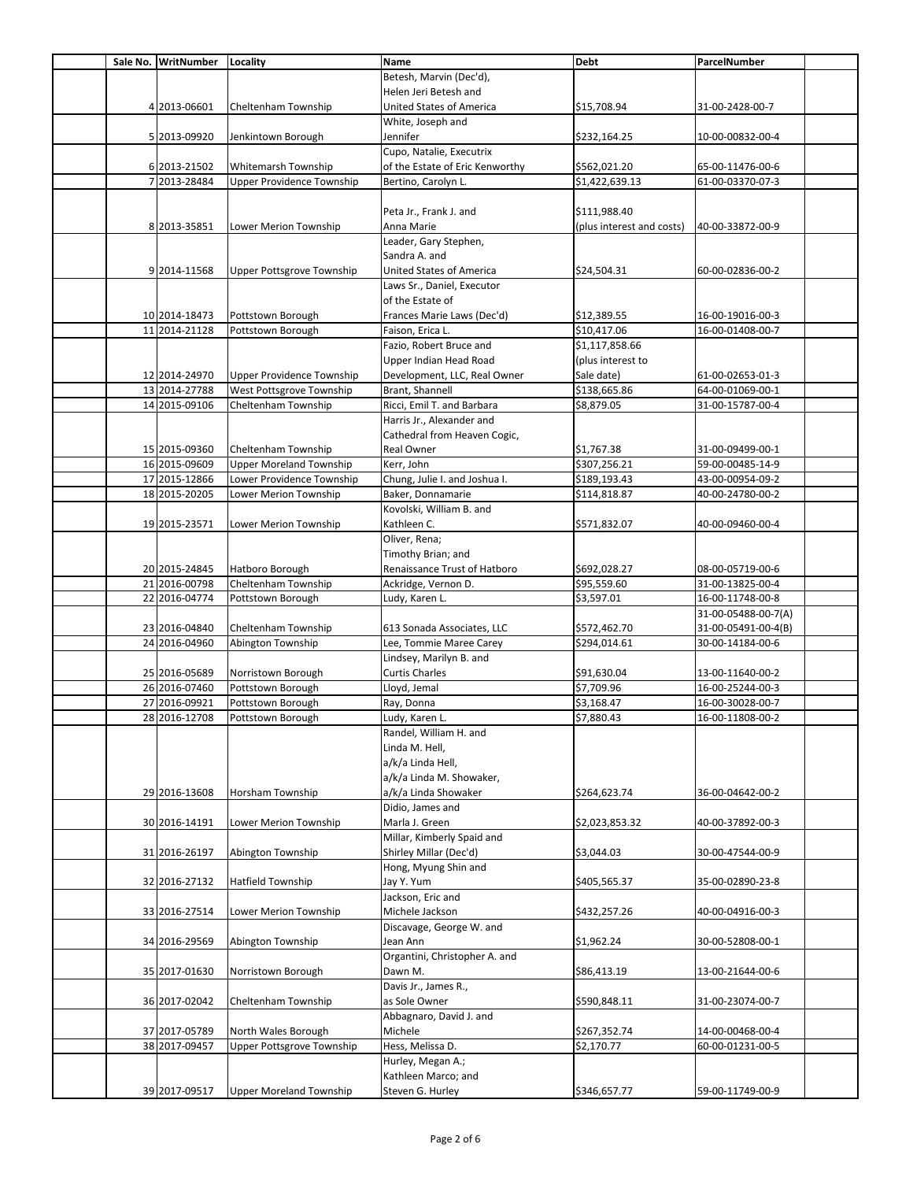|  | Sale No. WritNumber | Locality                         | Name                            | <b>Debt</b>               | ParcelNumber        |  |
|--|---------------------|----------------------------------|---------------------------------|---------------------------|---------------------|--|
|  |                     |                                  | Betesh, Marvin (Dec'd),         |                           |                     |  |
|  |                     |                                  | Helen Jeri Betesh and           |                           |                     |  |
|  | 4 2013-06601        | Cheltenham Township              | <b>United States of America</b> | \$15,708.94               | 31-00-2428-00-7     |  |
|  |                     |                                  |                                 |                           |                     |  |
|  |                     |                                  | White, Joseph and               |                           |                     |  |
|  | 5 2013-09920        | Jenkintown Borough               | Jennifer                        | \$232,164.25              | 10-00-00832-00-4    |  |
|  |                     |                                  | Cupo, Natalie, Executrix        |                           |                     |  |
|  | 6 2013-21502        | Whitemarsh Township              | of the Estate of Eric Kenworthy | \$562,021.20              | 65-00-11476-00-6    |  |
|  | 7 2013-28484        | <b>Upper Providence Township</b> | Bertino, Carolyn L.             | \$1,422,639.13            | 61-00-03370-07-3    |  |
|  |                     |                                  |                                 |                           |                     |  |
|  |                     |                                  | Peta Jr., Frank J. and          | \$111,988.40              |                     |  |
|  | 8 2013-35851        | Lower Merion Township            | Anna Marie                      | (plus interest and costs) | 40-00-33872-00-9    |  |
|  |                     |                                  | Leader, Gary Stephen,           |                           |                     |  |
|  |                     |                                  | Sandra A. and                   |                           |                     |  |
|  |                     |                                  |                                 |                           |                     |  |
|  | 9 2014-11568        | <b>Upper Pottsgrove Township</b> | United States of America        | \$24,504.31               | 60-00-02836-00-2    |  |
|  |                     |                                  | Laws Sr., Daniel, Executor      |                           |                     |  |
|  |                     |                                  | of the Estate of                |                           |                     |  |
|  | 10 2014-18473       | Pottstown Borough                | Frances Marie Laws (Dec'd)      | \$12,389.55               | 16-00-19016-00-3    |  |
|  | 11 2014-21128       | Pottstown Borough                | Faison, Erica L.                | \$10,417.06               | 16-00-01408-00-7    |  |
|  |                     |                                  | Fazio, Robert Bruce and         | \$1,117,858.66            |                     |  |
|  |                     |                                  | Upper Indian Head Road          | (plus interest to         |                     |  |
|  | 12 2014-24970       | Upper Providence Township        | Development, LLC, Real Owner    | Sale date)                | 61-00-02653-01-3    |  |
|  |                     |                                  |                                 |                           |                     |  |
|  | 13 2014-27788       | West Pottsgrove Township         | Brant, Shannell                 | \$138,665.86              | 64-00-01069-00-1    |  |
|  | 14 2015-09106       | Cheltenham Township              | Ricci, Emil T. and Barbara      | \$8,879.05                | 31-00-15787-00-4    |  |
|  |                     |                                  | Harris Jr., Alexander and       |                           |                     |  |
|  |                     |                                  | Cathedral from Heaven Cogic,    |                           |                     |  |
|  | 15 2015-09360       | Cheltenham Township              | Real Owner                      | \$1,767.38                | 31-00-09499-00-1    |  |
|  | 16 2015-09609       | <b>Upper Moreland Township</b>   | Kerr, John                      | \$307,256.21              | 59-00-00485-14-9    |  |
|  | 17 2015-12866       | Lower Providence Township        | Chung, Julie I. and Joshua I.   | \$189,193.43              | 43-00-00954-09-2    |  |
|  | 18 2015-20205       | Lower Merion Township            | Baker, Donnamarie               | \$114,818.87              | 40-00-24780-00-2    |  |
|  |                     |                                  | Kovolski, William B. and        |                           |                     |  |
|  |                     |                                  |                                 |                           |                     |  |
|  | 19 2015-23571       | Lower Merion Township            | Kathleen C.                     | \$571,832.07              | 40-00-09460-00-4    |  |
|  |                     |                                  | Oliver, Rena;                   |                           |                     |  |
|  |                     |                                  | Timothy Brian; and              |                           |                     |  |
|  | 20 2015-24845       | Hatboro Borough                  | Renaissance Trust of Hatboro    | \$692,028.27              | 08-00-05719-00-6    |  |
|  | 21 2016-00798       | Cheltenham Township              | Ackridge, Vernon D.             | \$95,559.60               | 31-00-13825-00-4    |  |
|  | 22 2016-04774       | Pottstown Borough                | Ludy, Karen L.                  | \$3,597.01                | 16-00-11748-00-8    |  |
|  |                     |                                  |                                 |                           | 31-00-05488-00-7(A) |  |
|  | 23 2016-04840       | Cheltenham Township              | 613 Sonada Associates, LLC      | \$572,462.70              | 31-00-05491-00-4(B) |  |
|  | 24 2016-04960       |                                  |                                 | \$294,014.61              | 30-00-14184-00-6    |  |
|  |                     | Abington Township                | Lee, Tommie Maree Carey         |                           |                     |  |
|  |                     |                                  | Lindsey, Marilyn B. and         |                           |                     |  |
|  | 25 2016-05689       | Norristown Borough               | <b>Curtis Charles</b>           | \$91,630.04               | 13-00-11640-00-2    |  |
|  | 26 2016-07460       | Pottstown Borough                | Lloyd, Jemal                    | \$7,709.96                | 16-00-25244-00-3    |  |
|  | 27 2016-09921       | Pottstown Borough                | Ray, Donna                      | \$3,168.47                | 16-00-30028-00-7    |  |
|  | 28 2016-12708       | Pottstown Borough                | Ludy, Karen L.                  | \$7,880.43                | 16-00-11808-00-2    |  |
|  |                     |                                  | Randel, William H. and          |                           |                     |  |
|  |                     |                                  | Linda M. Hell,                  |                           |                     |  |
|  |                     |                                  |                                 |                           |                     |  |
|  |                     |                                  | a/k/a Linda Hell,               |                           |                     |  |
|  |                     |                                  | a/k/a Linda M. Showaker,        |                           |                     |  |
|  | 29 2016-13608       | Horsham Township                 | a/k/a Linda Showaker            | \$264,623.74              | 36-00-04642-00-2    |  |
|  |                     |                                  | Didio, James and                |                           |                     |  |
|  | 30 2016-14191       | Lower Merion Township            | Marla J. Green                  | \$2,023,853.32            | 40-00-37892-00-3    |  |
|  |                     |                                  | Millar, Kimberly Spaid and      |                           |                     |  |
|  | 31 2016-26197       | Abington Township                | Shirley Millar (Dec'd)          | \$3,044.03                | 30-00-47544-00-9    |  |
|  |                     |                                  | Hong, Myung Shin and            |                           |                     |  |
|  | 32 2016-27132       | <b>Hatfield Township</b>         | Jay Y. Yum                      | \$405,565.37              | 35-00-02890-23-8    |  |
|  |                     |                                  |                                 |                           |                     |  |
|  |                     |                                  | Jackson, Eric and               |                           |                     |  |
|  | 33 2016-27514       | Lower Merion Township            | Michele Jackson                 | \$432,257.26              | 40-00-04916-00-3    |  |
|  |                     |                                  | Discavage, George W. and        |                           |                     |  |
|  | 34 2016-29569       | Abington Township                | Jean Ann                        | \$1,962.24                | 30-00-52808-00-1    |  |
|  |                     |                                  | Organtini, Christopher A. and   |                           |                     |  |
|  | 35 2017-01630       | Norristown Borough               | Dawn M.                         | \$86,413.19               | 13-00-21644-00-6    |  |
|  |                     |                                  | Davis Jr., James R.,            |                           |                     |  |
|  | 36 2017-02042       | Cheltenham Township              | as Sole Owner                   | \$590,848.11              | 31-00-23074-00-7    |  |
|  |                     |                                  | Abbagnaro, David J. and         |                           |                     |  |
|  |                     |                                  |                                 |                           |                     |  |
|  | 37 2017-05789       | North Wales Borough              | Michele                         | \$267,352.74              | 14-00-00468-00-4    |  |
|  | 38 2017-09457       | Upper Pottsgrove Township        | Hess, Melissa D.                | \$2,170.77                | 60-00-01231-00-5    |  |
|  |                     |                                  | Hurley, Megan A.;               |                           |                     |  |
|  |                     |                                  | Kathleen Marco; and             |                           |                     |  |
|  | 39 2017-09517       | <b>Upper Moreland Township</b>   | Steven G. Hurley                | \$346,657.77              | 59-00-11749-00-9    |  |
|  |                     |                                  |                                 |                           |                     |  |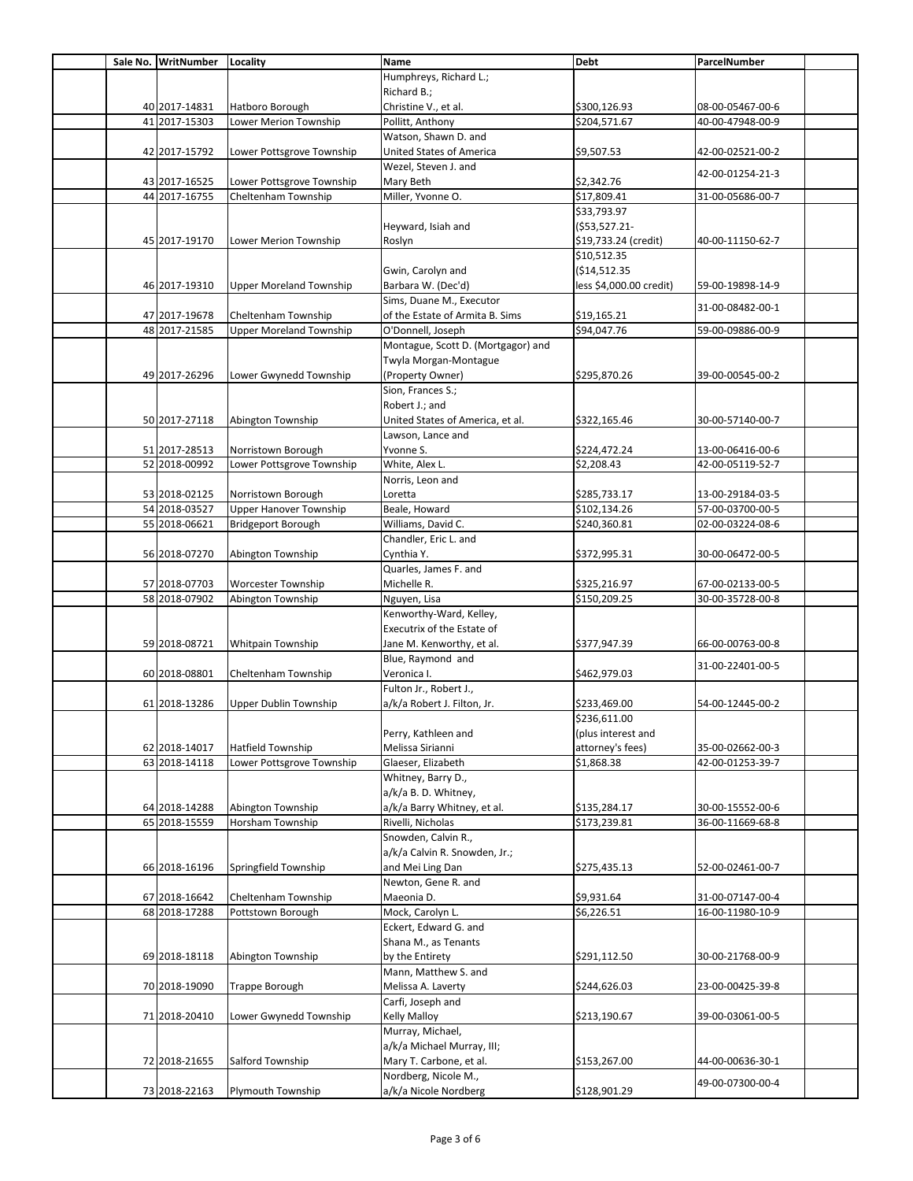|  | Sale No. WritNumber Locality |                                | Name                               | <b>Debt</b>             | ParcelNumber     |  |
|--|------------------------------|--------------------------------|------------------------------------|-------------------------|------------------|--|
|  |                              |                                | Humphreys, Richard L.;             |                         |                  |  |
|  |                              |                                | Richard B.;                        |                         |                  |  |
|  | 40 2017-14831                | Hatboro Borough                | Christine V., et al.               | \$300,126.93            | 08-00-05467-00-6 |  |
|  | 41 2017-15303                | Lower Merion Township          | Pollitt, Anthony                   | \$204,571.67            | 40-00-47948-00-9 |  |
|  |                              |                                | Watson, Shawn D. and               |                         |                  |  |
|  | 42 2017-15792                | Lower Pottsgrove Township      | United States of America           | \$9,507.53              | 42-00-02521-00-2 |  |
|  |                              |                                | Wezel, Steven J. and               |                         |                  |  |
|  |                              |                                |                                    | \$2,342.76              | 42-00-01254-21-3 |  |
|  | 43 2017-16525                | Lower Pottsgrove Township      | Mary Beth                          |                         |                  |  |
|  | 44 2017-16755                | Cheltenham Township            | Miller, Yvonne O.                  | \$17,809.41             | 31-00-05686-00-7 |  |
|  |                              |                                |                                    | \$33,793.97             |                  |  |
|  |                              |                                | Heyward, Isiah and                 | $( $53,527.21-$         |                  |  |
|  | 45 2017-19170                | Lower Merion Township          | Roslyn                             | \$19,733.24 (credit)    | 40-00-11150-62-7 |  |
|  |                              |                                |                                    | \$10,512.35             |                  |  |
|  |                              |                                | Gwin, Carolyn and                  | ( \$14,512.35           |                  |  |
|  | 46 2017-19310                | <b>Upper Moreland Township</b> | Barbara W. (Dec'd)                 | less \$4,000.00 credit) | 59-00-19898-14-9 |  |
|  |                              |                                | Sims, Duane M., Executor           |                         | 31-00-08482-00-1 |  |
|  | 47 2017-19678                | Cheltenham Township            | of the Estate of Armita B. Sims    | \$19,165.21             |                  |  |
|  | 48 2017-21585                | <b>Upper Moreland Township</b> | O'Donnell, Joseph                  | \$94,047.76             | 59-00-09886-00-9 |  |
|  |                              |                                | Montague, Scott D. (Mortgagor) and |                         |                  |  |
|  |                              |                                | Twyla Morgan-Montague              |                         |                  |  |
|  | 49 2017-26296                | Lower Gwynedd Township         | (Property Owner)                   | \$295,870.26            | 39-00-00545-00-2 |  |
|  |                              |                                | Sion, Frances S.;                  |                         |                  |  |
|  |                              |                                | Robert J.; and                     |                         |                  |  |
|  | 50 2017-27118                | Abington Township              | United States of America, et al.   | \$322,165.46            | 30-00-57140-00-7 |  |
|  |                              |                                | Lawson, Lance and                  |                         |                  |  |
|  | 51 2017-28513                | Norristown Borough             | Yvonne S.                          | \$224,472.24            | 13-00-06416-00-6 |  |
|  | 52 2018-00992                | Lower Pottsgrove Township      | White, Alex L.                     | \$2,208.43              | 42-00-05119-52-7 |  |
|  |                              |                                | Norris, Leon and                   |                         |                  |  |
|  | 53 2018-02125                | Norristown Borough             | Loretta                            | \$285,733.17            | 13-00-29184-03-5 |  |
|  | 54 2018-03527                | Upper Hanover Township         | Beale, Howard                      | \$102,134.26            | 57-00-03700-00-5 |  |
|  | 55 2018-06621                | <b>Bridgeport Borough</b>      | Williams, David C.                 | \$240,360.81            | 02-00-03224-08-6 |  |
|  |                              |                                |                                    |                         |                  |  |
|  |                              |                                | Chandler, Eric L. and              |                         |                  |  |
|  | 56 2018-07270                | Abington Township              | Cynthia Y.                         | \$372,995.31            | 30-00-06472-00-5 |  |
|  |                              |                                | Quarles, James F. and              |                         |                  |  |
|  | 57 2018-07703                | <b>Worcester Township</b>      | Michelle R.                        | \$325,216.97            | 67-00-02133-00-5 |  |
|  | 58 2018-07902                | Abington Township              | Nguyen, Lisa                       | \$150,209.25            | 30-00-35728-00-8 |  |
|  |                              |                                | Kenworthy-Ward, Kelley,            |                         |                  |  |
|  |                              |                                | Executrix of the Estate of         |                         |                  |  |
|  | 59 2018-08721                | Whitpain Township              | Jane M. Kenworthy, et al.          | \$377,947.39            | 66-00-00763-00-8 |  |
|  |                              |                                | Blue, Raymond and                  |                         | 31-00-22401-00-5 |  |
|  | 60 2018-08801                | Cheltenham Township            | Veronica I.                        | \$462,979.03            |                  |  |
|  |                              |                                | Fulton Jr., Robert J.,             |                         |                  |  |
|  | 61 2018-13286                | Upper Dublin Township          | a/k/a Robert J. Filton, Jr.        | \$233,469.00            | 54-00-12445-00-2 |  |
|  |                              |                                |                                    | \$236,611.00            |                  |  |
|  |                              |                                | Perry, Kathleen and                | (plus interest and      |                  |  |
|  | 62 2018-14017                | <b>Hatfield Township</b>       | Melissa Sirianni                   | attorney's fees)        | 35-00-02662-00-3 |  |
|  | 63 2018-14118                | Lower Pottsgrove Township      | Glaeser, Elizabeth                 | \$1,868.38              | 42-00-01253-39-7 |  |
|  |                              |                                | Whitney, Barry D.,                 |                         |                  |  |
|  |                              |                                | a/k/a B. D. Whitney,               |                         |                  |  |
|  | 64 2018-14288                | Abington Township              | a/k/a Barry Whitney, et al.        | \$135,284.17            | 30-00-15552-00-6 |  |
|  | 65 2018-15559                | Horsham Township               | Rivelli, Nicholas                  | \$173,239.81            | 36-00-11669-68-8 |  |
|  |                              |                                | Snowden, Calvin R.,                |                         |                  |  |
|  |                              |                                | a/k/a Calvin R. Snowden, Jr.;      |                         |                  |  |
|  | 66 2018-16196                | Springfield Township           | and Mei Ling Dan                   | \$275,435.13            | 52-00-02461-00-7 |  |
|  |                              |                                | Newton, Gene R. and                |                         |                  |  |
|  | 67 2018-16642                | Cheltenham Township            | Maeonia D.                         | \$9,931.64              | 31-00-07147-00-4 |  |
|  | 68 2018-17288                | Pottstown Borough              | Mock, Carolyn L.                   | \$6,226.51              | 16-00-11980-10-9 |  |
|  |                              |                                | Eckert, Edward G. and              |                         |                  |  |
|  |                              |                                |                                    |                         |                  |  |
|  |                              |                                | Shana M., as Tenants               |                         |                  |  |
|  | 69 2018-18118                | Abington Township              | by the Entirety                    | \$291,112.50            | 30-00-21768-00-9 |  |
|  |                              |                                | Mann, Matthew S. and               |                         |                  |  |
|  | 70 2018-19090                | <b>Trappe Borough</b>          | Melissa A. Laverty                 | \$244,626.03            | 23-00-00425-39-8 |  |
|  |                              |                                | Carfi, Joseph and                  |                         |                  |  |
|  | 71 2018-20410                | Lower Gwynedd Township         | Kelly Malloy                       | \$213,190.67            | 39-00-03061-00-5 |  |
|  |                              |                                | Murray, Michael,                   |                         |                  |  |
|  |                              |                                | a/k/a Michael Murray, III;         |                         |                  |  |
|  | 72 2018-21655                | Salford Township               | Mary T. Carbone, et al.            | \$153,267.00            | 44-00-00636-30-1 |  |
|  |                              |                                | Nordberg, Nicole M.,               |                         | 49-00-07300-00-4 |  |
|  | 73 2018-22163                | Plymouth Township              | a/k/a Nicole Nordberg              | \$128,901.29            |                  |  |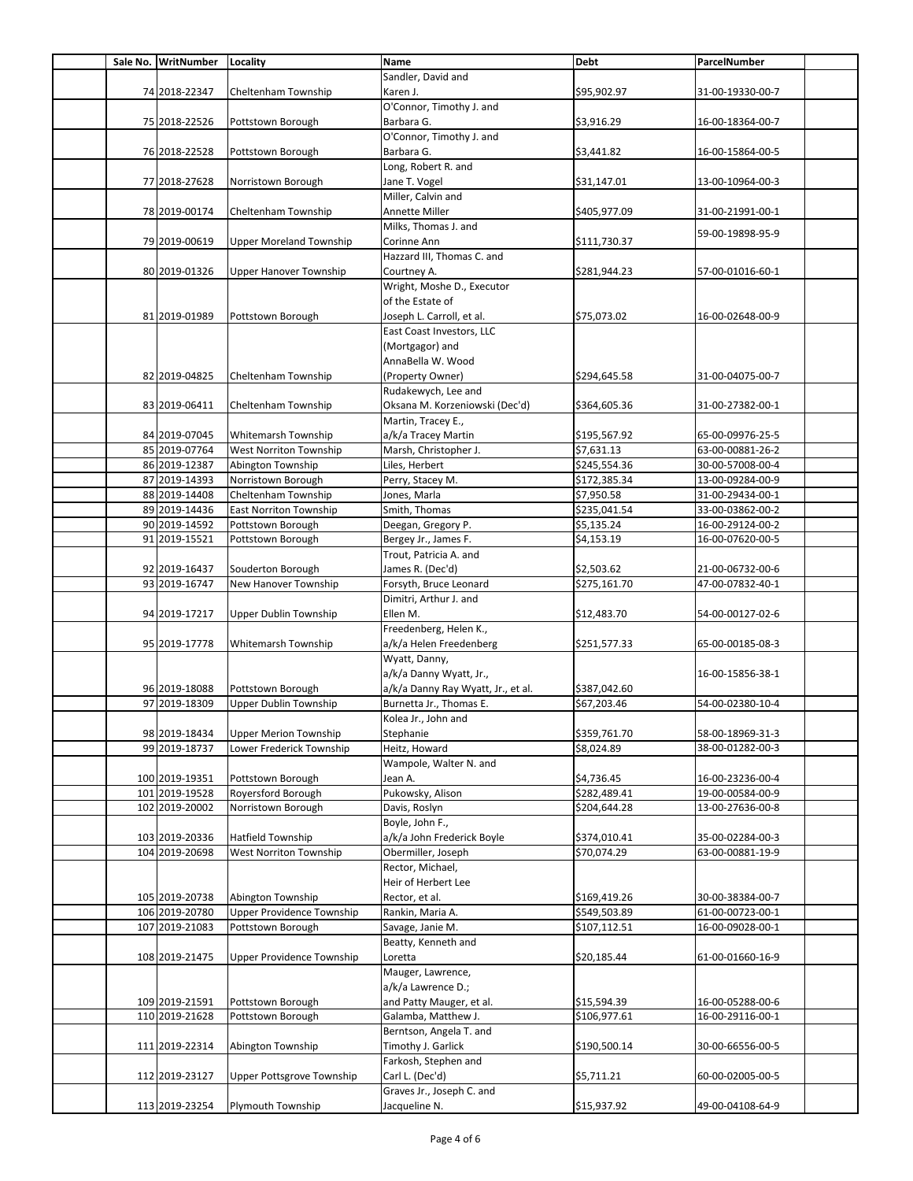|  | Sale No. WritNumber | Locality                         | <b>Name</b>                        | <b>Debt</b>  | ParcelNumber     |  |
|--|---------------------|----------------------------------|------------------------------------|--------------|------------------|--|
|  |                     |                                  | Sandler, David and                 |              |                  |  |
|  | 74 2018-22347       | Cheltenham Township              | Karen J.                           | \$95,902.97  | 31-00-19330-00-7 |  |
|  |                     |                                  | O'Connor, Timothy J. and           |              |                  |  |
|  |                     |                                  |                                    |              |                  |  |
|  | 75 2018-22526       | Pottstown Borough                | Barbara G.                         | \$3,916.29   | 16-00-18364-00-7 |  |
|  |                     |                                  | O'Connor, Timothy J. and           |              |                  |  |
|  | 76 2018-22528       | Pottstown Borough                | Barbara G.                         | \$3,441.82   | 16-00-15864-00-5 |  |
|  |                     |                                  | Long, Robert R. and                |              |                  |  |
|  | 77 2018-27628       | Norristown Borough               | Jane T. Vogel                      | \$31,147.01  | 13-00-10964-00-3 |  |
|  |                     |                                  | Miller, Calvin and                 |              |                  |  |
|  | 78 2019-00174       | Cheltenham Township              | Annette Miller                     | \$405,977.09 | 31-00-21991-00-1 |  |
|  |                     |                                  | Milks, Thomas J. and               |              |                  |  |
|  | 79 2019-00619       | <b>Upper Moreland Township</b>   | Corinne Ann                        |              | 59-00-19898-95-9 |  |
|  |                     |                                  |                                    | \$111,730.37 |                  |  |
|  |                     |                                  | Hazzard III, Thomas C. and         |              |                  |  |
|  | 80 2019-01326       | <b>Upper Hanover Township</b>    | Courtney A.                        | \$281,944.23 | 57-00-01016-60-1 |  |
|  |                     |                                  | Wright, Moshe D., Executor         |              |                  |  |
|  |                     |                                  | of the Estate of                   |              |                  |  |
|  | 81 2019-01989       | Pottstown Borough                | Joseph L. Carroll, et al.          | \$75,073.02  | 16-00-02648-00-9 |  |
|  |                     |                                  | East Coast Investors, LLC          |              |                  |  |
|  |                     |                                  | (Mortgagor) and                    |              |                  |  |
|  |                     |                                  | AnnaBella W. Wood                  |              |                  |  |
|  | 82 2019-04825       | Cheltenham Township              | (Property Owner)                   | \$294,645.58 | 31-00-04075-00-7 |  |
|  |                     |                                  |                                    |              |                  |  |
|  |                     |                                  | Rudakewych, Lee and                |              |                  |  |
|  | 83 2019-06411       | Cheltenham Township              | Oksana M. Korzeniowski (Dec'd)     | \$364,605.36 | 31-00-27382-00-1 |  |
|  |                     |                                  | Martin, Tracey E.,                 |              |                  |  |
|  | 84 2019-07045       | Whitemarsh Township              | a/k/a Tracey Martin                | \$195,567.92 | 65-00-09976-25-5 |  |
|  | 85 2019-07764       | West Norriton Township           | Marsh, Christopher J.              | \$7,631.13   | 63-00-00881-26-2 |  |
|  | 86 2019-12387       | Abington Township                | Liles, Herbert                     | \$245,554.36 | 30-00-57008-00-4 |  |
|  | 87 2019-14393       | Norristown Borough               | Perry, Stacey M.                   | \$172,385.34 | 13-00-09284-00-9 |  |
|  | 88 2019-14408       | Cheltenham Township              | Jones, Marla                       | \$7,950.58   | 31-00-29434-00-1 |  |
|  | 89 2019-14436       | <b>East Norriton Township</b>    | Smith, Thomas                      | \$235,041.54 | 33-00-03862-00-2 |  |
|  | 90 2019-14592       | Pottstown Borough                | Deegan, Gregory P.                 | \$5,135.24   | 16-00-29124-00-2 |  |
|  | 91 2019-15521       | Pottstown Borough                | Bergey Jr., James F.               | \$4,153.19   | 16-00-07620-00-5 |  |
|  |                     |                                  | Trout, Patricia A. and             |              |                  |  |
|  | 92 2019-16437       | Souderton Borough                | James R. (Dec'd)                   | \$2,503.62   | 21-00-06732-00-6 |  |
|  |                     |                                  |                                    |              |                  |  |
|  | 93 2019-16747       | New Hanover Township             | Forsyth, Bruce Leonard             | \$275,161.70 | 47-00-07832-40-1 |  |
|  |                     |                                  | Dimitri, Arthur J. and             |              |                  |  |
|  | 94 2019-17217       | Upper Dublin Township            | Ellen M.                           | \$12,483.70  | 54-00-00127-02-6 |  |
|  |                     |                                  | Freedenberg, Helen K.,             |              |                  |  |
|  | 95 2019-17778       | Whitemarsh Township              | a/k/a Helen Freedenberg            | \$251,577.33 | 65-00-00185-08-3 |  |
|  |                     |                                  | Wyatt, Danny,                      |              |                  |  |
|  |                     |                                  | a/k/a Danny Wyatt, Jr.,            |              | 16-00-15856-38-1 |  |
|  | 96 2019-18088       | Pottstown Borough                | a/k/a Danny Ray Wyatt, Jr., et al. | \$387,042.60 |                  |  |
|  | 97 2019-18309       | Upper Dublin Township            | Burnetta Jr., Thomas E.            | \$67,203.46  | 54-00-02380-10-4 |  |
|  |                     |                                  | Kolea Jr., John and                |              |                  |  |
|  | 98 2019-18434       | <b>Upper Merion Township</b>     | Stephanie                          | \$359,761.70 | 58-00-18969-31-3 |  |
|  |                     | Lower Frederick Township         |                                    |              | 38-00-01282-00-3 |  |
|  | 99 2019-18737       |                                  | Heitz, Howard                      | \$8,024.89   |                  |  |
|  |                     |                                  | Wampole, Walter N. and             |              |                  |  |
|  | 100 2019-19351      | Pottstown Borough                | Jean A.                            | \$4,736.45   | 16-00-23236-00-4 |  |
|  | 101 2019-19528      | Royersford Borough               | Pukowsky, Alison                   | \$282,489.41 | 19-00-00584-00-9 |  |
|  | 102 2019-20002      | Norristown Borough               | Davis, Roslyn                      | \$204,644.28 | 13-00-27636-00-8 |  |
|  |                     |                                  | Boyle, John F.,                    |              |                  |  |
|  | 103 2019-20336      | Hatfield Township                | a/k/a John Frederick Boyle         | \$374,010.41 | 35-00-02284-00-3 |  |
|  | 104 2019-20698      | West Norriton Township           | Obermiller, Joseph                 | \$70,074.29  | 63-00-00881-19-9 |  |
|  |                     |                                  | Rector, Michael,                   |              |                  |  |
|  |                     |                                  | Heir of Herbert Lee                |              |                  |  |
|  | 105 2019-20738      | Abington Township                |                                    |              | 30-00-38384-00-7 |  |
|  |                     |                                  | Rector, et al.                     | \$169,419.26 |                  |  |
|  | 106 2019-20780      | <b>Upper Providence Township</b> | Rankin, Maria A.                   | \$549,503.89 | 61-00-00723-00-1 |  |
|  | 107 2019-21083      | Pottstown Borough                | Savage, Janie M.                   | \$107,112.51 | 16-00-09028-00-1 |  |
|  |                     |                                  | Beatty, Kenneth and                |              |                  |  |
|  | 108 2019-21475      | Upper Providence Township        | Loretta                            | \$20,185.44  | 61-00-01660-16-9 |  |
|  |                     |                                  | Mauger, Lawrence,                  |              |                  |  |
|  |                     |                                  | a/k/a Lawrence D.;                 |              |                  |  |
|  | 109 2019-21591      | Pottstown Borough                | and Patty Mauger, et al.           | \$15,594.39  | 16-00-05288-00-6 |  |
|  | 110 2019-21628      | Pottstown Borough                | Galamba, Matthew J.                | \$106,977.61 | 16-00-29116-00-1 |  |
|  |                     |                                  | Berntson, Angela T. and            |              |                  |  |
|  | 111 2019-22314      | Abington Township                | Timothy J. Garlick                 | \$190,500.14 | 30-00-66556-00-5 |  |
|  |                     |                                  | Farkosh, Stephen and               |              |                  |  |
|  | 112 2019-23127      | Upper Pottsgrove Township        | Carl L. (Dec'd)                    | \$5,711.21   | 60-00-02005-00-5 |  |
|  |                     |                                  | Graves Jr., Joseph C. and          |              |                  |  |
|  |                     |                                  |                                    |              |                  |  |
|  | 113 2019-23254      | Plymouth Township                | Jacqueline N.                      | \$15,937.92  | 49-00-04108-64-9 |  |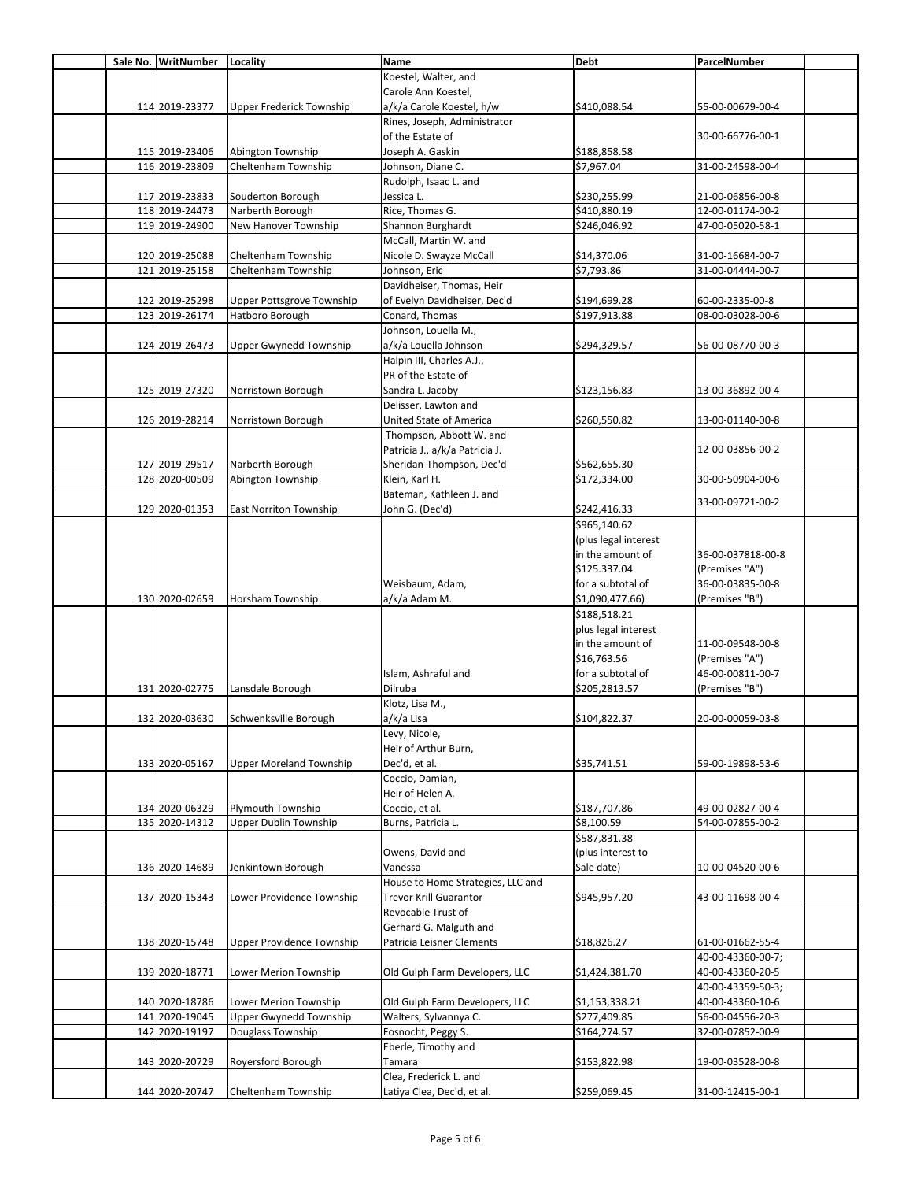|  | Sale No. WritNumber | Locality                       | Name                              | <b>Debt</b>          | ParcelNumber      |  |
|--|---------------------|--------------------------------|-----------------------------------|----------------------|-------------------|--|
|  |                     |                                | Koestel, Walter, and              |                      |                   |  |
|  |                     |                                | Carole Ann Koestel,               |                      |                   |  |
|  | 114 2019-23377      | Upper Frederick Township       | a/k/a Carole Koestel, h/w         | \$410,088.54         | 55-00-00679-00-4  |  |
|  |                     |                                | Rines, Joseph, Administrator      |                      |                   |  |
|  |                     |                                |                                   |                      |                   |  |
|  |                     |                                | of the Estate of                  |                      | 30-00-66776-00-1  |  |
|  | 115 2019-23406      | Abington Township              | Joseph A. Gaskin                  | \$188,858.58         |                   |  |
|  | 116 2019-23809      | Cheltenham Township            | Johnson, Diane C.                 | \$7,967.04           | 31-00-24598-00-4  |  |
|  |                     |                                | Rudolph, Isaac L. and             |                      |                   |  |
|  | 117 2019-23833      | Souderton Borough              | Jessica L.                        | \$230,255.99         | 21-00-06856-00-8  |  |
|  | 118 2019-24473      | Narberth Borough               | Rice, Thomas G.                   | \$410,880.19         | 12-00-01174-00-2  |  |
|  | 119 2019-24900      | New Hanover Township           | Shannon Burghardt                 | \$246,046.92         | 47-00-05020-58-1  |  |
|  |                     |                                | McCall, Martin W. and             |                      |                   |  |
|  | 120 2019-25088      | Cheltenham Township            | Nicole D. Swayze McCall           | \$14,370.06          | 31-00-16684-00-7  |  |
|  | 121 2019-25158      | Cheltenham Township            | Johnson, Eric                     | \$7,793.86           | 31-00-04444-00-7  |  |
|  |                     |                                | Davidheiser, Thomas, Heir         |                      |                   |  |
|  | 122 2019-25298      | Upper Pottsgrove Township      | of Evelyn Davidheiser, Dec'd      | \$194,699.28         | 60-00-2335-00-8   |  |
|  |                     |                                |                                   |                      |                   |  |
|  | 123 2019-26174      | Hatboro Borough                | Conard, Thomas                    | \$197,913.88         | 08-00-03028-00-6  |  |
|  |                     |                                | Johnson, Louella M.,              |                      |                   |  |
|  | 124 2019-26473      | <b>Upper Gwynedd Township</b>  | a/k/a Louella Johnson             | \$294,329.57         | 56-00-08770-00-3  |  |
|  |                     |                                | Halpin III, Charles A.J.,         |                      |                   |  |
|  |                     |                                | PR of the Estate of               |                      |                   |  |
|  | 125 2019-27320      | Norristown Borough             | Sandra L. Jacoby                  | \$123,156.83         | 13-00-36892-00-4  |  |
|  |                     |                                | Delisser, Lawton and              |                      |                   |  |
|  | 126 2019-28214      | Norristown Borough             | United State of America           | \$260,550.82         | 13-00-01140-00-8  |  |
|  |                     |                                | Thompson, Abbott W. and           |                      |                   |  |
|  |                     |                                | Patricia J., a/k/a Patricia J.    |                      | 12-00-03856-00-2  |  |
|  | 127 2019-29517      | Narberth Borough               | Sheridan-Thompson, Dec'd          | \$562,655.30         |                   |  |
|  |                     |                                |                                   |                      |                   |  |
|  | 128 2020-00509      | Abington Township              | Klein, Karl H.                    | \$172,334.00         | 30-00-50904-00-6  |  |
|  |                     |                                | Bateman, Kathleen J. and          |                      | 33-00-09721-00-2  |  |
|  | 129 2020-01353      | <b>East Norriton Township</b>  | John G. (Dec'd)                   | \$242,416.33         |                   |  |
|  |                     |                                |                                   | \$965,140.62         |                   |  |
|  |                     |                                |                                   | (plus legal interest |                   |  |
|  |                     |                                |                                   | in the amount of     | 36-00-037818-00-8 |  |
|  |                     |                                |                                   | \$125.337.04         | (Premises "A")    |  |
|  |                     |                                | Weisbaum, Adam,                   | for a subtotal of    | 36-00-03835-00-8  |  |
|  | 130 2020-02659      | Horsham Township               | a/k/a Adam M.                     | \$1,090,477.66)      | (Premises "B")    |  |
|  |                     |                                |                                   | \$188,518.21         |                   |  |
|  |                     |                                |                                   |                      |                   |  |
|  |                     |                                |                                   | plus legal interest  |                   |  |
|  |                     |                                |                                   | in the amount of     | 11-00-09548-00-8  |  |
|  |                     |                                |                                   | \$16,763.56          | (Premises "A")    |  |
|  |                     |                                | Islam, Ashraful and               | for a subtotal of    | 46-00-00811-00-7  |  |
|  | 131 2020-02775      | Lansdale Borough               | Dilruba                           | \$205,2813.57        | (Premises "B")    |  |
|  |                     |                                | Klotz, Lisa M.,                   |                      |                   |  |
|  | 132 2020-03630      | Schwenksville Borough          | a/k/a Lisa                        | \$104,822.37         | 20-00-00059-03-8  |  |
|  |                     |                                | Levy, Nicole,                     |                      |                   |  |
|  |                     |                                | Heir of Arthur Burn,              |                      |                   |  |
|  | 133 2020-05167      | <b>Upper Moreland Township</b> | Dec'd, et al.                     | \$35,741.51          | 59-00-19898-53-6  |  |
|  |                     |                                | Coccio, Damian,                   |                      |                   |  |
|  |                     |                                | Heir of Helen A.                  |                      |                   |  |
|  |                     | <b>Plymouth Township</b>       |                                   |                      |                   |  |
|  | 134 2020-06329      |                                | Coccio, et al.                    | \$187,707.86         | 49-00-02827-00-4  |  |
|  | 135 2020-14312      | Upper Dublin Township          | Burns, Patricia L.                | \$8,100.59           | 54-00-07855-00-2  |  |
|  |                     |                                |                                   | \$587,831.38         |                   |  |
|  |                     |                                | Owens, David and                  | (plus interest to    |                   |  |
|  | 136 2020-14689      | Jenkintown Borough             | Vanessa                           | Sale date)           | 10-00-04520-00-6  |  |
|  |                     |                                | House to Home Strategies, LLC and |                      |                   |  |
|  | 137 2020-15343      | Lower Providence Township      | <b>Trevor Krill Guarantor</b>     | \$945,957.20         | 43-00-11698-00-4  |  |
|  |                     |                                | Revocable Trust of                |                      |                   |  |
|  |                     |                                | Gerhard G. Malguth and            |                      |                   |  |
|  | 138 2020-15748      | Upper Providence Township      | Patricia Leisner Clements         | \$18,826.27          | 61-00-01662-55-4  |  |
|  |                     |                                |                                   |                      | 40-00-43360-00-7; |  |
|  |                     |                                |                                   |                      |                   |  |
|  | 139 2020-18771      | Lower Merion Township          | Old Gulph Farm Developers, LLC    | \$1,424,381.70       | 40-00-43360-20-5  |  |
|  |                     |                                |                                   |                      | 40-00-43359-50-3; |  |
|  | 140 2020-18786      | Lower Merion Township          | Old Gulph Farm Developers, LLC    | \$1,153,338.21       | 40-00-43360-10-6  |  |
|  | 141 2020-19045      | Upper Gwynedd Township         | Walters, Sylvannya C.             | \$277,409.85         | 56-00-04556-20-3  |  |
|  | 142 2020-19197      | Douglass Township              | Fosnocht, Peggy S.                | \$164,274.57         | 32-00-07852-00-9  |  |
|  |                     |                                | Eberle, Timothy and               |                      |                   |  |
|  | 143 2020-20729      | Royersford Borough             | Tamara                            | \$153,822.98         | 19-00-03528-00-8  |  |
|  |                     |                                | Clea, Frederick L. and            |                      |                   |  |
|  | 144 2020-20747      | Cheltenham Township            | Latiya Clea, Dec'd, et al.        | \$259,069.45         | 31-00-12415-00-1  |  |
|  |                     |                                |                                   |                      |                   |  |